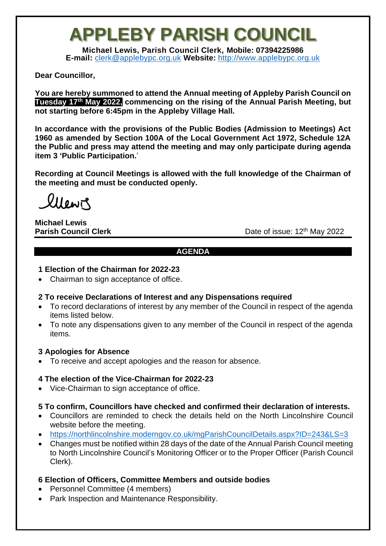# **APPLEBY PARISH COUNCIL**

**Michael Lewis, Parish Council Clerk, Mobile: 07394225986 E-mail:** [clerk@applebypc.org.uk](mailto:clerk@applebypc.org.uk) **Website:** [http://www.applebypc.org.uk](http://www.applebypc.org.uk/)

## **Dear Councillor,**

**You are hereby summoned to attend the Annual meeting of Appleby Parish Council on Tuesday 17th May 2022, commencing on the rising of the Annual Parish Meeting, but not starting before 6:45pm in the Appleby Village Hall.**

**In accordance with the provisions of the Public Bodies (Admission to Meetings) Act 1960 as amended by Section 100A of the Local Government Act 1972, Schedule 12A the Public and press may attend the meeting and may only participate during agenda item 3 'Public Participation.**'

**Recording at Council Meetings is allowed with the full knowledge of the Chairman of the meeting and must be conducted openly.**

lilewis

#### **Michael Lewis Parish Council Clerk**

Date of issue: 12<sup>th</sup> May 2022

#### **AGENDA**

## **1 Election of the Chairman for 2022-23**

• Chairman to sign acceptance of office.

## **2 To receive Declarations of Interest and any Dispensations required**

- To record declarations of interest by any member of the Council in respect of the agenda items listed below.
- To note any dispensations given to any member of the Council in respect of the agenda items.

## **3 Apologies for Absence**

• To receive and accept apologies and the reason for absence.

## **4 The election of the Vice-Chairman for 2022-23**

• Vice-Chairman to sign acceptance of office.

## **5 To confirm, Councillors have checked and confirmed their declaration of interests.**

- Councillors are reminded to check the details held on the North Lincolnshire Council website before the meeting.
- <https://northlincolnshire.moderngov.co.uk/mgParishCouncilDetails.aspx?ID=243&LS=3>
- Changes must be notified within 28 days of the date of the Annual Parish Council meeting to North Lincolnshire Council's Monitoring Officer or to the Proper Officer (Parish Council Clerk).

## **6 Election of Officers, Committee Members and outside bodies**

- Personnel Committee (4 members)
- Park Inspection and Maintenance Responsibility.